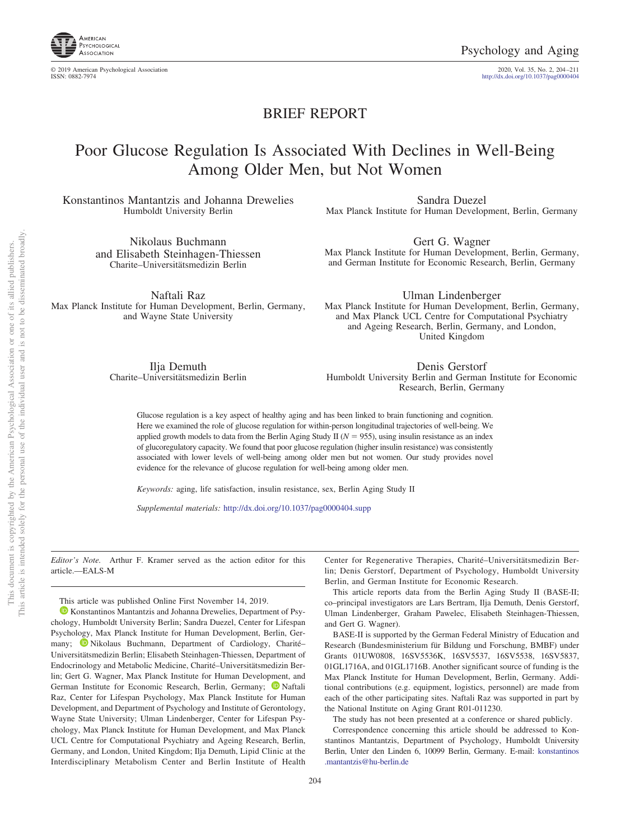

© 2019 American Psychological Association 2020, Vol. 35, No. 2, 204 –211

http://dx.doi.org[/10.1037/pag0000404](http://dx.doi.org/10.1037/pag0000404)

## BRIEF REPORT

# Poor Glucose Regulation Is Associated With Declines in Well-Being Among Older Men, but Not Women

Konstantinos Mantantzis and Johanna Drewelies Humboldt University Berlin

> Nikolaus Buchmann and Elisabeth Steinhagen-Thiessen Charite–Universitätsmedizin Berlin

Sandra Duezel Max Planck Institute for Human Development, Berlin, Germany

Gert G. Wagner Max Planck Institute for Human Development, Berlin, Germany, and German Institute for Economic Research, Berlin, Germany

Naftali Raz Max Planck Institute for Human Development, Berlin, Germany, and Wayne State University

Ulman Lindenberger Max Planck Institute for Human Development, Berlin, Germany, and Max Planck UCL Centre for Computational Psychiatry and Ageing Research, Berlin, Germany, and London, United Kingdom

Ilja Demuth Charite–Universitätsmedizin Berlin

Denis Gerstorf Humboldt University Berlin and German Institute for Economic Research, Berlin, Germany

Glucose regulation is a key aspect of healthy aging and has been linked to brain functioning and cognition. Here we examined the role of glucose regulation for within-person longitudinal trajectories of well-being. We applied growth models to data from the Berlin Aging Study II  $(N = 955)$ , using insulin resistance as an index of glucoregulatory capacity. We found that poor glucose regulation (higher insulin resistance) was consistently associated with lower levels of well-being among older men but not women. Our study provides novel evidence for the relevance of glucose regulation for well-being among older men.

*Keywords:* aging, life satisfaction, insulin resistance, sex, Berlin Aging Study II

*Supplemental materials:* http://dx.doi.org/10.1037/pag0000404.supp

*Editor's Note.* Arthur F. Kramer served as the action editor for this article.—EALS-M

This article was published Online First November 14, 2019.

<sup>1</sup> [Konstantinos Mantantzis](https://orcid.org/0000-0002-6417-9527) and Johanna Drewelies, Department of Psychology, Humboldt University Berlin; Sandra Duezel, Center for Lifespan Psychology, Max Planck Institute for Human Development, Berlin, Germany; **D** [Nikolaus Buchmann,](https://orcid.org/0000-0002-4345-3515) Department of Cardiology, Charité– Universitätsmedizin Berlin; Elisabeth Steinhagen-Thiessen, Department of Endocrinology and Metabolic Medicine, Charité–Universitätsmedizin Berlin; Gert G. Wagner, Max Planck Institute for Human Development, and German Institute for Economic Research, Berlin, Germany; <sup>1</sup> [Naftali](https://orcid.org/0000-0002-5080-2138) [Raz,](https://orcid.org/0000-0002-5080-2138) Center for Lifespan Psychology, Max Planck Institute for Human Development, and Department of Psychology and Institute of Gerontology, Wayne State University; Ulman Lindenberger, Center for Lifespan Psychology, Max Planck Institute for Human Development, and Max Planck UCL Centre for Computational Psychiatry and Ageing Research, Berlin, Germany, and London, United Kingdom; Ilja Demuth, Lipid Clinic at the Interdisciplinary Metabolism Center and Berlin Institute of Health Center for Regenerative Therapies, Charité–Universitätsmedizin Berlin; Denis Gerstorf, Department of Psychology, Humboldt University Berlin, and German Institute for Economic Research.

This article reports data from the Berlin Aging Study II (BASE-II; co–principal investigators are Lars Bertram, Ilja Demuth, Denis Gerstorf, Ulman Lindenberger, Graham Pawelec, Elisabeth Steinhagen-Thiessen, and Gert G. Wagner).

BASE-II is supported by the German Federal Ministry of Education and Research (Bundesministerium für Bildung und Forschung, BMBF) under Grants 01UW0808, 16SV5536K, 16SV5537, 16SV5538, 16SV5837, 01GL1716A, and 01GL1716B. Another significant source of funding is the Max Planck Institute for Human Development, Berlin, Germany. Additional contributions (e.g. equipment, logistics, personnel) are made from each of the other participating sites. Naftali Raz was supported in part by the National Institute on Aging Grant R01-011230.

The study has not been presented at a conference or shared publicly.

Correspondence concerning this article should be addressed to Konstantinos Mantantzis, Department of Psychology, Humboldt University Berlin, Unter den Linden 6, 10099 Berlin, Germany. E-mail: [konstantinos](mailto:konstantinos.mantantzis@hu-berlin.de) [.mantantzis@hu-berlin.de](mailto:konstantinos.mantantzis@hu-berlin.de)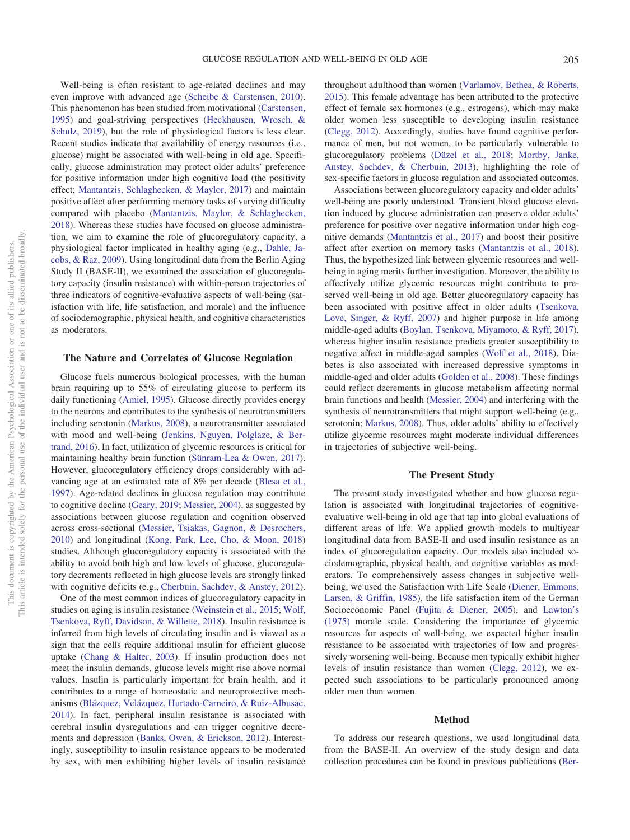Well-being is often resistant to age-related declines and may even improve with advanced age [\(Scheibe & Carstensen, 2010\)](#page-7-0). This phenomenon has been studied from motivational [\(Carstensen,](#page-6-0) [1995\)](#page-6-0) and goal-striving perspectives [\(Heckhausen, Wrosch, &](#page-6-1) [Schulz, 2019\)](#page-6-1), but the role of physiological factors is less clear. Recent studies indicate that availability of energy resources (i.e., glucose) might be associated with well-being in old age. Specifically, glucose administration may protect older adults' preference for positive information under high cognitive load (the positivity effect; [Mantantzis, Schlaghecken, & Maylor, 2017\)](#page-6-2) and maintain positive affect after performing memory tasks of varying difficulty compared with placebo [\(Mantantzis, Maylor, & Schlaghecken,](#page-6-3) [2018\)](#page-6-3). Whereas these studies have focused on glucose administration, we aim to examine the role of glucoregulatory capacity, a physiological factor implicated in healthy aging (e.g., [Dahle, Ja](#page-6-4)[cobs, & Raz, 2009\)](#page-6-4). Using longitudinal data from the Berlin Aging Study II (BASE-II), we examined the association of glucoregulatory capacity (insulin resistance) with within-person trajectories of three indicators of cognitive-evaluative aspects of well-being (satisfaction with life, life satisfaction, and morale) and the influence of sociodemographic, physical health, and cognitive characteristics as moderators.

### **The Nature and Correlates of Glucose Regulation**

Glucose fuels numerous biological processes, with the human brain requiring up to 55% of circulating glucose to perform its daily functioning [\(Amiel, 1995\)](#page-5-0). Glucose directly provides energy to the neurons and contributes to the synthesis of neurotransmitters including serotonin [\(Markus, 2008\)](#page-6-5), a neurotransmitter associated with mood and well-being [\(Jenkins, Nguyen, Polglaze, & Ber](#page-6-6)[trand, 2016\)](#page-6-6). In fact, utilization of glycemic resources is critical for maintaining healthy brain function [\(Sünram-Lea & Owen, 2017\)](#page-7-1). However, glucoregulatory efficiency drops considerably with advancing age at an estimated rate of 8% per decade [\(Blesa et al.,](#page-5-1) [1997\)](#page-5-1). Age-related declines in glucose regulation may contribute to cognitive decline [\(Geary, 2019;](#page-6-7) [Messier, 2004\)](#page-7-2), as suggested by associations between glucose regulation and cognition observed across cross-sectional [\(Messier, Tsiakas, Gagnon, & Desrochers,](#page-7-3) [2010\)](#page-7-3) and longitudinal [\(Kong, Park, Lee, Cho, & Moon, 2018\)](#page-6-8) studies. Although glucoregulatory capacity is associated with the ability to avoid both high and low levels of glucose, glucoregulatory decrements reflected in high glucose levels are strongly linked with cognitive deficits (e.g., [Cherbuin, Sachdev, & Anstey, 2012\)](#page-6-9).

One of the most common indices of glucoregulatory capacity in studies on aging is insulin resistance [\(Weinstein et al., 2015;](#page-7-4) [Wolf,](#page-7-5) [Tsenkova, Ryff, Davidson, & Willette, 2018\)](#page-7-5). Insulin resistance is inferred from high levels of circulating insulin and is viewed as a sign that the cells require additional insulin for efficient glucose uptake [\(Chang & Halter, 2003\)](#page-6-10). If insulin production does not meet the insulin demands, glucose levels might rise above normal values. Insulin is particularly important for brain health, and it contributes to a range of homeostatic and neuroprotective mechanisms [\(Blázquez, Velázquez, Hurtado-Carneiro, & Ruiz-Albusac,](#page-5-2) [2014\)](#page-5-2). In fact, peripheral insulin resistance is associated with cerebral insulin dysregulations and can trigger cognitive decrements and depression [\(Banks, Owen, & Erickson, 2012\)](#page-5-3). Interestingly, susceptibility to insulin resistance appears to be moderated by sex, with men exhibiting higher levels of insulin resistance

throughout adulthood than women [\(Varlamov, Bethea, & Roberts,](#page-7-6) [2015\)](#page-7-6). This female advantage has been attributed to the protective effect of female sex hormones (e.g., estrogens), which may make older women less susceptible to developing insulin resistance [\(Clegg, 2012\)](#page-6-11). Accordingly, studies have found cognitive performance of men, but not women, to be particularly vulnerable to glucoregulatory problems [\(Düzel et al., 2018;](#page-6-12) [Mortby, Janke,](#page-7-7) [Anstey, Sachdev, & Cherbuin, 2013\)](#page-7-7), highlighting the role of sex-specific factors in glucose regulation and associated outcomes.

Associations between glucoregulatory capacity and older adults' well-being are poorly understood. Transient blood glucose elevation induced by glucose administration can preserve older adults' preference for positive over negative information under high cognitive demands [\(Mantantzis et al., 2017\)](#page-6-2) and boost their positive affect after exertion on memory tasks [\(Mantantzis et al., 2018\)](#page-6-3). Thus, the hypothesized link between glycemic resources and wellbeing in aging merits further investigation. Moreover, the ability to effectively utilize glycemic resources might contribute to preserved well-being in old age. Better glucoregulatory capacity has been associated with positive affect in older adults [\(Tsenkova,](#page-7-8) [Love, Singer, & Ryff, 2007\)](#page-7-8) and higher purpose in life among middle-aged adults [\(Boylan, Tsenkova, Miyamoto, & Ryff, 2017\)](#page-6-13), whereas higher insulin resistance predicts greater susceptibility to negative affect in middle-aged samples [\(Wolf et al., 2018\)](#page-7-5). Diabetes is also associated with increased depressive symptoms in middle-aged and older adults [\(Golden et al., 2008\)](#page-6-14). These findings could reflect decrements in glucose metabolism affecting normal brain functions and health [\(Messier, 2004\)](#page-7-2) and interfering with the synthesis of neurotransmitters that might support well-being (e.g., serotonin; [Markus, 2008\)](#page-6-5). Thus, older adults' ability to effectively utilize glycemic resources might moderate individual differences in trajectories of subjective well-being.

#### **The Present Study**

The present study investigated whether and how glucose regulation is associated with longitudinal trajectories of cognitiveevaluative well-being in old age that tap into global evaluations of different areas of life. We applied growth models to multiyear longitudinal data from BASE-II and used insulin resistance as an index of glucoregulation capacity. Our models also included sociodemographic, physical health, and cognitive variables as moderators. To comprehensively assess changes in subjective wellbeing, we used the Satisfaction with Life Scale [\(Diener, Emmons,](#page-6-15) [Larsen, & Griffin, 1985\)](#page-6-15), the life satisfaction item of the German Socioeconomic Panel [\(Fujita & Diener, 2005\)](#page-6-16), and [Lawton's](#page-6-17) [\(1975\)](#page-6-17) morale scale. Considering the importance of glycemic resources for aspects of well-being, we expected higher insulin resistance to be associated with trajectories of low and progressively worsening well-being. Because men typically exhibit higher levels of insulin resistance than women [\(Clegg, 2012\)](#page-6-11), we expected such associations to be particularly pronounced among older men than women.

#### **Method**

To address our research questions, we used longitudinal data from the BASE-II. An overview of the study design and data collection procedures can be found in previous publications [\(Ber-](#page-5-4)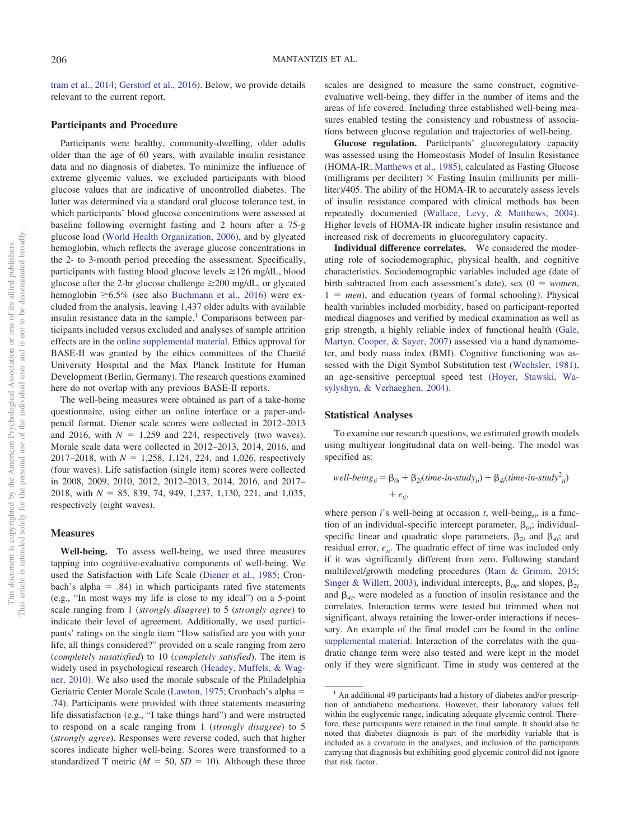[tram et al., 2014;](#page-5-4) [Gerstorf et al., 2016\)](#page-6-18). Below, we provide details relevant to the current report.

### **Participants and Procedure**

Participants were healthy, community-dwelling, older adults older than the age of 60 years, with available insulin resistance data and no diagnosis of diabetes. To minimize the influence of extreme glycemic values, we excluded participants with blood glucose values that are indicative of uncontrolled diabetes. The latter was determined via a standard oral glucose tolerance test, in which participants' blood glucose concentrations were assessed at baseline following overnight fasting and 2 hours after a 75-g glucose load [\(World Health Organization, 2006\)](#page-7-9), and by glycated hemoglobin, which reflects the average glucose concentrations in the 2- to 3-month period preceding the assessment. Specifically, participants with fasting blood glucose levels  $\geq$  126 mg/dL, blood glucose after the 2-hr glucose challenge  $\geq$  200 mg/dL, or glycated hemoglobin  $\geq 6.5\%$  (see also [Buchmann et al., 2016\)](#page-6-19) were excluded from the analysis, leaving 1,437 older adults with available insulin resistance data in the sample.<sup>1</sup> Comparisons between participants included versus excluded and analyses of sample attrition effects are in the [online supplemental material.](http://dx.doi.org/10.1037/pag0000404.supp) Ethics approval for BASE-II was granted by the ethics committees of the Charité University Hospital and the Max Planck Institute for Human Development (Berlin, Germany). The research questions examined here do not overlap with any previous BASE-II reports.

The well-being measures were obtained as part of a take-home questionnaire, using either an online interface or a paper-andpencil format. Diener scale scores were collected in 2012–2013 and 2016, with  $N = 1,259$  and 224, respectively (two waves). Morale scale data were collected in 2012–2013, 2014, 2016, and  $2017 - 2018$ , with  $N = 1,258, 1,124, 224,$  and 1,026, respectively (four waves). Life satisfaction (single item) scores were collected in 2008, 2009, 2010, 2012, 2012–2013, 2014, 2016, and 2017– 2018, with *N* - 85, 839, 74, 949, 1,237, 1,130, 221, and 1,035, respectively (eight waves).

#### **Measures**

**Well-being.** To assess well-being, we used three measures tapping into cognitive-evaluative components of well-being. We used the Satisfaction with Life Scale [\(Diener et al., 1985;](#page-6-15) Cronbach's alpha  $=$  .84) in which participants rated five statements (e.g., "In most ways my life is close to my ideal") on a 5-point scale ranging from 1 (*strongly disagree*) to 5 (*strongly agree*) to indicate their level of agreement. Additionally, we used participants' ratings on the single item "How satisfied are you with your life, all things considered?" provided on a scale ranging from zero (*completely unsatisfied*) to 10 (*completely satisfied*). The item is widely used in psychological research [\(Headey, Muffels, & Wag](#page-6-20)[ner, 2010\)](#page-6-20). We also used the morale subscale of the Philadelphia Geriatric Center Morale Scale [\(Lawton, 1975;](#page-6-17) Cronbach's alpha - .74). Participants were provided with three statements measuring life dissatisfaction (e.g., "I take things hard") and were instructed to respond on a scale ranging from 1 (*strongly disagree*) to 5 (*strongly agree*). Responses were reverse coded, such that higher scores indicate higher well-being. Scores were transformed to a standardized T metric ( $M = 50$ ,  $SD = 10$ ). Although these three

scales are designed to measure the same construct, cognitiveevaluative well-being, they differ in the number of items and the areas of life covered. Including three established well-being measures enabled testing the consistency and robustness of associations between glucose regulation and trajectories of well-being.

**Glucose regulation.** Participants' glucoregulatory capacity was assessed using the Homeostasis Model of Insulin Resistance (HOMA-IR; [Matthews et al., 1985\)](#page-7-10), calculated as Fasting Glucose (milligrams per deciliter)  $\times$  Fasting Insulin (milliunits per milliliter)/405. The ability of the HOMA-IR to accurately assess levels of insulin resistance compared with clinical methods has been repeatedly documented [\(Wallace, Levy, & Matthews, 2004\)](#page-7-11). Higher levels of HOMA-IR indicate higher insulin resistance and increased risk of decrements in glucoregulatory capacity.

**Individual difference correlates.** We considered the moderating role of sociodemographic, physical health, and cognitive characteristics. Sociodemographic variables included age (date of birth subtracted from each assessment's date), sex  $(0 = women,$  $1 = men$ , and education (years of formal schooling). Physical health variables included morbidity, based on participant-reported medical diagnoses and verified by medical examination as well as grip strength, a highly reliable index of functional health [\(Gale,](#page-6-21) [Martyn, Cooper, & Sayer, 2007\)](#page-6-21) assessed via a hand dynamometer, and body mass index (BMI). Cognitive functioning was assessed with the Digit Symbol Substitution test [\(Wechsler, 1981\)](#page-7-12), an age-sensitive perceptual speed test [\(Hoyer, Stawski, Wa](#page-6-22)[sylyshyn, & Verhaeghen, 2004\)](#page-6-22).

## **Statistical Analyses**

To examine our research questions, we estimated growth models using multiyear longitudinal data on well-being. The model was specified as:

well-being<sub>ii</sub> = 
$$
\beta_{0i} + \beta_{2i}(time-in-study_{ii}) + \beta_{4i}(time-in-study_{ii}^2)
$$
  
+  $e_{ii}$ ,

where person  $i$ 's well-being at occasion  $t$ , well-being<sub> $t$ </sub>, is a function of an individual-specific intercept parameter,  $\beta_{0i}$ ; individualspecific linear and quadratic slope parameters,  $\beta_{2i}$  and  $\beta_{4i}$ ; and residual error,  $e_{ti}$ . The quadratic effect of time was included only if it was significantly different from zero. Following standard multilevel/growth modeling procedures [\(Ram & Grimm, 2015;](#page-7-13) [Singer & Willett, 2003\)](#page-7-14), individual intercepts,  $\beta_{0i}$ , and slopes,  $\beta_{2i}$ and  $\beta_{4i}$ , were modeled as a function of insulin resistance and the correlates. Interaction terms were tested but trimmed when not significant, always retaining the lower-order interactions if necessary. An example of the final model can be found in the [online](http://dx.doi.org/10.1037/pag0000404.supp) [supplemental material.](http://dx.doi.org/10.1037/pag0000404.supp) Interaction of the correlates with the quadratic change term were also tested and were kept in the model only if they were significant. Time in study was centered at the

 $<sup>1</sup>$  An additional 49 participants had a history of diabetes and/or prescrip-</sup> tion of antidiabetic medications. However, their laboratory values fell within the euglycemic range, indicating adequate glycemic control. Therefore, these participants were retained in the final sample. It should also be noted that diabetes diagnosis is part of the morbidity variable that is included as a covariate in the analyses, and inclusion of the participants carrying that diagnosis but exhibiting good glycemic control did not ignore that risk factor.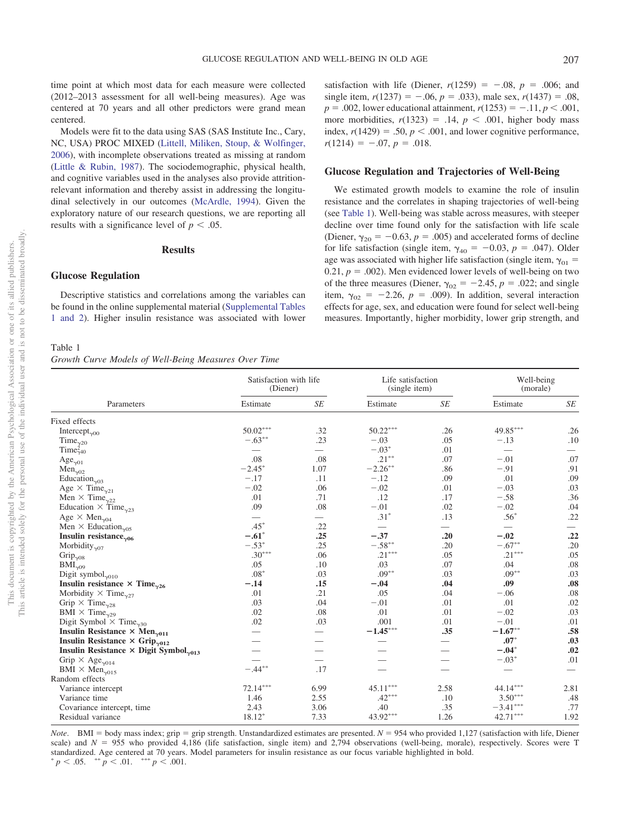time point at which most data for each measure were collected (2012–2013 assessment for all well-being measures). Age was centered at 70 years and all other predictors were grand mean centered.

Models were fit to the data using SAS (SAS Institute Inc., Cary, NC, USA) PROC MIXED [\(Littell, Miliken, Stoup, & Wolfinger,](#page-6-23) [2006\)](#page-6-23), with incomplete observations treated as missing at random [\(Little & Rubin, 1987\)](#page-6-24). The sociodemographic, physical health, and cognitive variables used in the analyses also provide attritionrelevant information and thereby assist in addressing the longitudinal selectively in our outcomes [\(McArdle, 1994\)](#page-7-15). Given the exploratory nature of our research questions, we are reporting all results with a significance level of  $p < .05$ .

## **Results**

## **Glucose Regulation**

Descriptive statistics and correlations among the variables can be found in the online supplemental material [\(Supplemental Tables](http://dx.doi.org/10.1037/pag0000404.supp) [1 and 2\)](http://dx.doi.org/10.1037/pag0000404.supp). Higher insulin resistance was associated with lower

<span id="page-3-0"></span>Table 1 *Growth Curve Models of Well-Being Measures Over Time*

satisfaction with life (Diener,  $r(1259) = -.08$ ,  $p = .006$ ; and single item,  $r(1237) = -.06$ ,  $p = .033$ ), male sex,  $r(1437) = .08$ ,  $p = .002$ , lower educational attainment,  $r(1253) = -.11$ ,  $p < .001$ , more morbidities,  $r(1323) = .14$ ,  $p < .001$ , higher body mass index,  $r(1429) = .50, p < .001$ , and lower cognitive performance,  $r(1214) = -.07, p = .018.$ 

## **Glucose Regulation and Trajectories of Well-Being**

We estimated growth models to examine the role of insulin resistance and the correlates in shaping trajectories of well-being (see [Table 1\)](#page-3-0). Well-being was stable across measures, with steeper decline over time found only for the satisfaction with life scale (Diener,  $\gamma_{20} = -0.63$ ,  $p = .005$ ) and accelerated forms of decline for life satisfaction (single item,  $\gamma_{40} = -0.03$ ,  $p = .047$ ). Older age was associated with higher life satisfaction (single item,  $\gamma_{01}$  =  $0.21, p = .002$ ). Men evidenced lower levels of well-being on two of the three measures (Diener,  $\gamma_{02} = -2.45$ ,  $p = .022$ ; and single item,  $\gamma_{02} = -2.26$ ,  $p = .009$ ). In addition, several interaction effects for age, sex, and education were found for select well-being measures. Importantly, higher morbidity, lower grip strength, and

| Parameters                                                                 | Satisfaction with life<br>(Diener) |                          | Life satisfaction<br>(single item) |      | Well-being<br>(morale) |      |
|----------------------------------------------------------------------------|------------------------------------|--------------------------|------------------------------------|------|------------------------|------|
|                                                                            | Estimate                           | <b>SE</b>                | Estimate                           | SE   | Estimate               | SE   |
| Fixed effects                                                              |                                    |                          |                                    |      |                        |      |
| Intercept <sub>v00</sub>                                                   | $50.02***$                         | .32                      | $50.22***$                         | .26  | $49.85***$             | .26  |
| Time $_{\gamma 20}$                                                        | $-.63***$                          | .23                      | $-.03$                             | .05  | $-.13$                 | .10  |
| Time $\zeta_{40}$                                                          |                                    | $\overline{\phantom{0}}$ | $-.03*$                            | .01  | $\hspace{0.05cm}$      |      |
| $Age_{\nu01}$                                                              | .08                                | .08                      | $.21***$                           | .07  | $-.01$                 | .07  |
| Men <sub>202</sub>                                                         | $-2.45*$                           | 1.07                     | $-2.26***$                         | .86  | $-.91$                 | .91  |
| Education <sub><math>\gamma</math>03</sub>                                 | $-.17$                             | .11                      | $-.12$                             | .09  | .01                    | .09  |
| Age $\times$ Time <sub><math>v21</math></sub>                              | $-.02$                             | .06                      | $-.02$                             | .01  | $-.03$                 | .03  |
| Men $\times$ Time <sub><math>\sim</math>22</sub>                           | .01                                | .71                      | .12                                | .17  | $-.58$                 | .36  |
| Education $\times$ Time <sub><math>\gamma</math>23</sub>                   | .09                                | .08                      | $-.01$                             | .02  | $-.02$                 | .04  |
| Age $\times$ Men <sub>y04</sub>                                            |                                    | $\overline{\phantom{0}}$ | $.31*$                             | .13  | $.56*$                 | .22  |
| Men $\times$ Education <sub><math>\sim</math>05</sub>                      | $.45*$                             | .22                      |                                    |      |                        |      |
| Insulin resistance <sub>y06</sub>                                          | $-.61*$                            | .25                      | $-.37$                             | .20  | $-.02$                 | .22  |
| Morbidity $_{\gamma07}$                                                    | $-.53*$                            | .25                      | $-.58***$                          | .20  | $-.67***$              | .20  |
| Grip $_{\gamma08}$                                                         | $.30***$                           | .06                      | $.21***$                           | .05  | $.21***$               | .05  |
| BMI <sub>v09</sub>                                                         | .05                                | .10                      | .03                                | .07  | .04                    | .08  |
| Digit symbol $_{\gamma010}$                                                | $.08*$                             | .03                      | $.09***$                           | .03  | $.09***$               | .03  |
| Insulin resistance $\times$ Time <sub><math>\sim</math>26</sub>            | $-.14$                             | .15                      | $-.04$                             | .04  | .09                    | .08  |
| Morbidity $\times$ Time <sub>227</sub>                                     | .01                                | .21                      | .05                                | .04  | $-.06$                 | .08  |
| Grip $\times$ Time <sub><math>\sim</math>28</sub>                          | .03                                | .04                      | $-.01$                             | .01  | .01                    | .02  |
| $BMI \times Time_{\sim 29}$                                                | .02                                | .08                      | .01                                | .01  | $-.02$                 | .03  |
| Digit Symbol $\times$ Time <sub><math>\sim</math>30</sub>                  | .02                                | .03                      | .001                               | .01  | $-.01$                 | .01  |
| Insulin Resistance $\times$ Men <sub><math>\sim</math>011</sub>            |                                    | $\overline{\phantom{0}}$ | $-1.45***$                         | .35  | $-1.67***$             | .58  |
| Insulin Resistance $\times$ Grip <sub><math>\gamma</math>012</sub>         |                                    |                          |                                    |      | $.07*$                 | .03  |
| Insulin Resistance $\times$ Digit Symbol <sub><math>\gamma</math>013</sub> |                                    |                          |                                    |      | $-.04*$                | .02  |
| Grip $\times$ Age <sub>y014</sub>                                          |                                    |                          |                                    |      | $-.03*$                | .01  |
| BMI $\times$ Men <sub><math>\gamma</math>015</sub>                         | $-.44***$                          | .17                      |                                    |      |                        |      |
| Random effects                                                             |                                    |                          |                                    |      |                        |      |
| Variance intercept                                                         | $72.14***$                         | 6.99                     | $45.11***$                         | 2.58 | 44.14***               | 2.81 |
| Variance time                                                              | 1.46                               | 2.55                     | $.42***$                           | .10  | $3.50***$              | .48  |
| Covariance intercept, time                                                 | 2.43                               | 3.06                     | .40                                | .35  | $-3.41***$             | .77  |
| Residual variance                                                          | $18.12*$                           | 7.33                     | $43.92***$                         | 1.26 | $42.71***$             | 1.92 |

*Note*. BMI = body mass index; grip = grip strength. Unstandardized estimates are presented.  $N = 954$  who provided 1,127 (satisfaction with life, Diener scale) and  $N = 955$  who provided 4,186 (life satisfaction, single item) and 2,794 observations (well-being, morale), respectively. Scores were T standardized. Age centered at 70 years. Model parameters for insulin resistance as our focus variable highlighted in bold.  $p < .05.$  \*\*  $p < .01.$  \*\*\*  $p < .001.$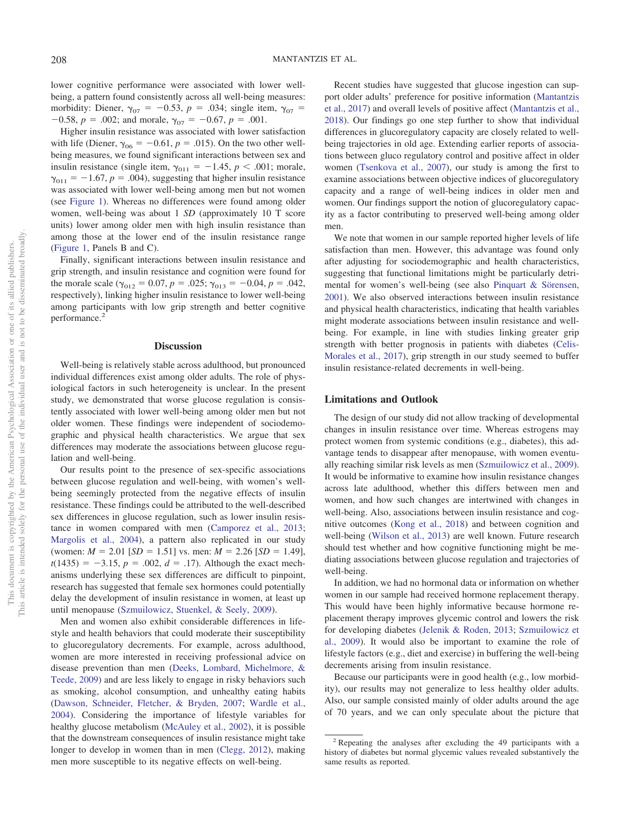lower cognitive performance were associated with lower wellbeing, a pattern found consistently across all well-being measures: morbidity: Diener,  $\gamma_{07} = -0.53$ ,  $p = .034$ ; single item,  $\gamma_{07} =$  $-0.58$ ,  $p = .002$ ; and morale,  $\gamma_{07} = -0.67$ ,  $p = .001$ .

Higher insulin resistance was associated with lower satisfaction with life (Diener,  $\gamma_{06} = -0.61$ ,  $p = .015$ ). On the two other wellbeing measures, we found significant interactions between sex and insulin resistance (single item,  $\gamma_{011} = -1.45$ ,  $p < .001$ ; morale,  $\gamma_{011} = -1.67$ ,  $p = .004$ ), suggesting that higher insulin resistance was associated with lower well-being among men but not women (see [Figure 1\)](#page-5-5). Whereas no differences were found among older women, well-being was about 1 *SD* (approximately 10 T score units) lower among older men with high insulin resistance than among those at the lower end of the insulin resistance range [\(Figure 1,](#page-5-5) Panels B and C).

Finally, significant interactions between insulin resistance and grip strength, and insulin resistance and cognition were found for the morale scale ( $\gamma_{012} = 0.07$ ,  $p = .025$ ;  $\gamma_{013} = -0.04$ ,  $p = .042$ , respectively), linking higher insulin resistance to lower well-being among participants with low grip strength and better cognitive performance.<sup>2</sup>

#### **Discussion**

Well-being is relatively stable across adulthood, but pronounced individual differences exist among older adults. The role of physiological factors in such heterogeneity is unclear. In the present study, we demonstrated that worse glucose regulation is consistently associated with lower well-being among older men but not older women. These findings were independent of sociodemographic and physical health characteristics. We argue that sex differences may moderate the associations between glucose regulation and well-being.

Our results point to the presence of sex-specific associations between glucose regulation and well-being, with women's wellbeing seemingly protected from the negative effects of insulin resistance. These findings could be attributed to the well-described sex differences in glucose regulation, such as lower insulin resistance in women compared with men [\(Camporez et al., 2013;](#page-6-25) [Margolis et al., 2004\)](#page-6-26), a pattern also replicated in our study (women:  $M = 2.01$  [ $SD = 1.51$ ] vs. men:  $M = 2.26$  [ $SD = 1.49$ ],  $t(1435) = -3.15$ ,  $p = .002$ ,  $d = .17$ ). Although the exact mechanisms underlying these sex differences are difficult to pinpoint, research has suggested that female sex hormones could potentially delay the development of insulin resistance in women, at least up until menopause [\(Szmuilowicz, Stuenkel, & Seely, 2009\)](#page-7-16).

Men and women also exhibit considerable differences in lifestyle and health behaviors that could moderate their susceptibility to glucoregulatory decrements. For example, across adulthood, women are more interested in receiving professional advice on disease prevention than men [\(Deeks, Lombard, Michelmore, &](#page-6-27) [Teede, 2009\)](#page-6-27) and are less likely to engage in risky behaviors such as smoking, alcohol consumption, and unhealthy eating habits [\(Dawson, Schneider, Fletcher, & Bryden, 2007;](#page-6-28) [Wardle et al.,](#page-7-17) [2004\)](#page-7-17). Considering the importance of lifestyle variables for healthy glucose metabolism [\(McAuley et al., 2002\)](#page-7-18), it is possible that the downstream consequences of insulin resistance might take longer to develop in women than in men [\(Clegg, 2012\)](#page-6-11), making men more susceptible to its negative effects on well-being.

Recent studies have suggested that glucose ingestion can support older adults' preference for positive information [\(Mantantzis](#page-6-2) [et al., 2017\)](#page-6-2) and overall levels of positive affect [\(Mantantzis et al.,](#page-6-3) [2018\)](#page-6-3). Our findings go one step further to show that individual differences in glucoregulatory capacity are closely related to wellbeing trajectories in old age. Extending earlier reports of associations between gluco regulatory control and positive affect in older women [\(Tsenkova et al., 2007\)](#page-7-8), our study is among the first to examine associations between objective indices of glucoregulatory capacity and a range of well-being indices in older men and women. Our findings support the notion of glucoregulatory capacity as a factor contributing to preserved well-being among older men.

We note that women in our sample reported higher levels of life satisfaction than men. However, this advantage was found only after adjusting for sociodemographic and health characteristics, suggesting that functional limitations might be particularly detrimental for women's well-being (see also [Pinquart & Sörensen,](#page-7-19) [2001\)](#page-7-19). We also observed interactions between insulin resistance and physical health characteristics, indicating that health variables might moderate associations between insulin resistance and wellbeing. For example, in line with studies linking greater grip strength with better prognosis in patients with diabetes [\(Celis-](#page-6-29)[Morales et al., 2017\)](#page-6-29), grip strength in our study seemed to buffer insulin resistance-related decrements in well-being.

#### **Limitations and Outlook**

The design of our study did not allow tracking of developmental changes in insulin resistance over time. Whereas estrogens may protect women from systemic conditions (e.g., diabetes), this advantage tends to disappear after menopause, with women eventually reaching similar risk levels as men [\(Szmuilowicz et al., 2009\)](#page-7-16). It would be informative to examine how insulin resistance changes across late adulthood, whether this differs between men and women, and how such changes are intertwined with changes in well-being. Also, associations between insulin resistance and cognitive outcomes [\(Kong et al., 2018\)](#page-6-8) and between cognition and well-being [\(Wilson et al., 2013\)](#page-7-20) are well known. Future research should test whether and how cognitive functioning might be mediating associations between glucose regulation and trajectories of well-being.

In addition, we had no hormonal data or information on whether women in our sample had received hormone replacement therapy. This would have been highly informative because hormone replacement therapy improves glycemic control and lowers the risk for developing diabetes [\(Jelenik & Roden, 2013;](#page-6-30) [Szmuilowicz et](#page-7-16) [al., 2009\)](#page-7-16). It would also be important to examine the role of lifestyle factors (e.g., diet and exercise) in buffering the well-being decrements arising from insulin resistance.

Because our participants were in good health (e.g., low morbidity), our results may not generalize to less healthy older adults. Also, our sample consisted mainly of older adults around the age of 70 years, and we can only speculate about the picture that

<sup>2</sup> Repeating the analyses after excluding the 49 participants with a history of diabetes but normal glycemic values revealed substantively the same results as reported.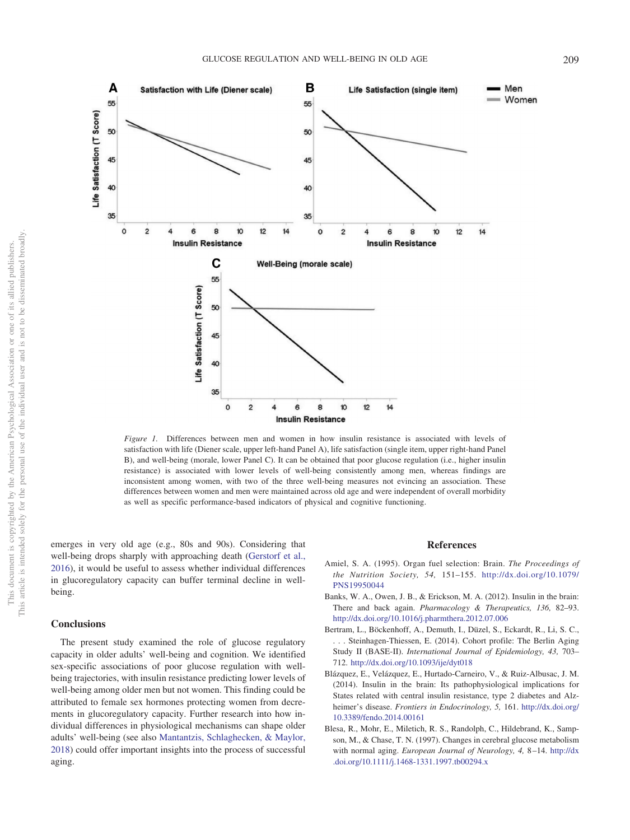

<span id="page-5-5"></span>*Figure 1.* Differences between men and women in how insulin resistance is associated with levels of satisfaction with life (Diener scale, upper left-hand Panel A), life satisfaction (single item, upper right-hand Panel B), and well-being (morale, lower Panel C). It can be obtained that poor glucose regulation (i.e., higher insulin resistance) is associated with lower levels of well-being consistently among men, whereas findings are inconsistent among women, with two of the three well-being measures not evincing an association. These differences between women and men were maintained across old age and were independent of overall morbidity as well as specific performance-based indicators of physical and cognitive functioning.

emerges in very old age (e.g., 80s and 90s). Considering that well-being drops sharply with approaching death [\(Gerstorf et al.,](#page-6-31) [2016\)](#page-6-31), it would be useful to assess whether individual differences in glucoregulatory capacity can buffer terminal decline in wellbeing.

## **Conclusions**

The present study examined the role of glucose regulatory capacity in older adults' well-being and cognition. We identified sex-specific associations of poor glucose regulation with wellbeing trajectories, with insulin resistance predicting lower levels of well-being among older men but not women. This finding could be attributed to female sex hormones protecting women from decrements in glucoregulatory capacity. Further research into how individual differences in physiological mechanisms can shape older adults' well-being (see also [Mantantzis, Schlaghecken, & Maylor,](#page-6-32) [2018\)](#page-6-32) could offer important insights into the process of successful aging.

#### **References**

- <span id="page-5-0"></span>Amiel, S. A. (1995). Organ fuel selection: Brain. *The Proceedings of the Nutrition Society, 54,* 151–155. [http://dx.doi.org/10.1079/](http://dx.doi.org/10.1079/PNS19950044) [PNS19950044](http://dx.doi.org/10.1079/PNS19950044)
- <span id="page-5-3"></span>Banks, W. A., Owen, J. B., & Erickson, M. A. (2012). Insulin in the brain: There and back again. *Pharmacology & Therapeutics, 136,* 82–93. <http://dx.doi.org/10.1016/j.pharmthera.2012.07.006>
- <span id="page-5-4"></span>Bertram, L., Böckenhoff, A., Demuth, I., Düzel, S., Eckardt, R., Li, S. C., . . . Steinhagen-Thiessen, E. (2014). Cohort profile: The Berlin Aging Study II (BASE-II). *International Journal of Epidemiology, 43,* 703– 712. <http://dx.doi.org/10.1093/ije/dyt018>
- <span id="page-5-2"></span>Blázquez, E., Velázquez, E., Hurtado-Carneiro, V., & Ruiz-Albusac, J. M. (2014). Insulin in the brain: Its pathophysiological implications for States related with central insulin resistance, type 2 diabetes and Alzheimer's disease. *Frontiers in Endocrinology, 5,* 161. [http://dx.doi.org/](http://dx.doi.org/10.3389/fendo.2014.00161) [10.3389/fendo.2014.00161](http://dx.doi.org/10.3389/fendo.2014.00161)
- <span id="page-5-1"></span>Blesa, R., Mohr, E., Miletich, R. S., Randolph, C., Hildebrand, K., Sampson, M., & Chase, T. N. (1997). Changes in cerebral glucose metabolism with normal aging. *European Journal of Neurology, 4,* 8 –14. [http://dx](http://dx.doi.org/10.1111/j.1468-1331.1997.tb00294.x) [.doi.org/10.1111/j.1468-1331.1997.tb00294.x](http://dx.doi.org/10.1111/j.1468-1331.1997.tb00294.x)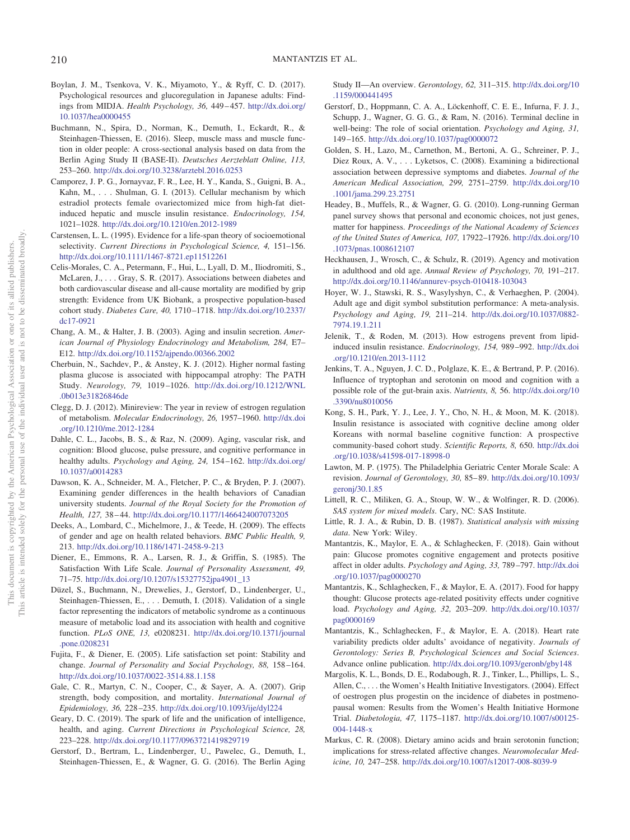- <span id="page-6-13"></span>Boylan, J. M., Tsenkova, V. K., Miyamoto, Y., & Ryff, C. D. (2017). Psychological resources and glucoregulation in Japanese adults: Findings from MIDJA. *Health Psychology, 36,* 449 – 457. [http://dx.doi.org/](http://dx.doi.org/10.1037/hea0000455) [10.1037/hea0000455](http://dx.doi.org/10.1037/hea0000455)
- <span id="page-6-19"></span>Buchmann, N., Spira, D., Norman, K., Demuth, I., Eckardt, R., & Steinhagen-Thiessen, E. (2016). Sleep, muscle mass and muscle function in older people: A cross-sectional analysis based on data from the Berlin Aging Study II (BASE-II). *Deutsches Aerzteblatt Online, 113,* 253–260. <http://dx.doi.org/10.3238/arztebl.2016.0253>
- <span id="page-6-25"></span>Camporez, J. P. G., Jornayvaz, F. R., Lee, H. Y., Kanda, S., Guigni, B. A., Kahn, M.,... Shulman, G. I. (2013). Cellular mechanism by which estradiol protects female ovariectomized mice from high-fat dietinduced hepatic and muscle insulin resistance. *Endocrinology, 154,* 1021–1028. <http://dx.doi.org/10.1210/en.2012-1989>
- <span id="page-6-0"></span>Carstensen, L. L. (1995). Evidence for a life-span theory of socioemotional selectivity. *Current Directions in Psychological Science, 4,* 151–156. <http://dx.doi.org/10.1111/1467-8721.ep11512261>
- <span id="page-6-29"></span>Celis-Morales, C. A., Petermann, F., Hui, L., Lyall, D. M., Iliodromiti, S., McLaren, J.,... Gray, S. R. (2017). Associations between diabetes and both cardiovascular disease and all-cause mortality are modified by grip strength: Evidence from UK Biobank, a prospective population-based cohort study. *Diabetes Care, 40,* 1710 –1718. [http://dx.doi.org/10.2337/](http://dx.doi.org/10.2337/dc17-0921) [dc17-0921](http://dx.doi.org/10.2337/dc17-0921)
- <span id="page-6-10"></span>Chang, A. M., & Halter, J. B. (2003). Aging and insulin secretion. *American Journal of Physiology Endocrinology and Metabolism, 284,* E7– E12. <http://dx.doi.org/10.1152/ajpendo.00366.2002>
- <span id="page-6-9"></span>Cherbuin, N., Sachdev, P., & Anstey, K. J. (2012). Higher normal fasting plasma glucose is associated with hippocampal atrophy: The PATH Study. *Neurology, 79,* 1019 –1026. [http://dx.doi.org/10.1212/WNL](http://dx.doi.org/10.1212/WNL.0b013e31826846de) [.0b013e31826846de](http://dx.doi.org/10.1212/WNL.0b013e31826846de)
- <span id="page-6-11"></span>Clegg, D. J. (2012). Minireview: The year in review of estrogen regulation of metabolism. *Molecular Endocrinology, 26,* 1957–1960. [http://dx.doi](http://dx.doi.org/10.1210/me.2012-1284) [.org/10.1210/me.2012-1284](http://dx.doi.org/10.1210/me.2012-1284)
- <span id="page-6-4"></span>Dahle, C. L., Jacobs, B. S., & Raz, N. (2009). Aging, vascular risk, and cognition: Blood glucose, pulse pressure, and cognitive performance in healthy adults. *Psychology and Aging, 24,* 154 –162. [http://dx.doi.org/](http://dx.doi.org/10.1037/a0014283) [10.1037/a0014283](http://dx.doi.org/10.1037/a0014283)
- <span id="page-6-28"></span>Dawson, K. A., Schneider, M. A., Fletcher, P. C., & Bryden, P. J. (2007). Examining gender differences in the health behaviors of Canadian university students. *Journal of the Royal Society for the Promotion of Health, 127,* 38 – 44. <http://dx.doi.org/10.1177/1466424007073205>
- <span id="page-6-27"></span>Deeks, A., Lombard, C., Michelmore, J., & Teede, H. (2009). The effects of gender and age on health related behaviors. *BMC Public Health, 9,* 213. <http://dx.doi.org/10.1186/1471-2458-9-213>
- <span id="page-6-15"></span>Diener, E., Emmons, R. A., Larsen, R. J., & Griffin, S. (1985). The Satisfaction With Life Scale. *Journal of Personality Assessment, 49,* 71–75. [http://dx.doi.org/10.1207/s15327752jpa4901\\_13](http://dx.doi.org/10.1207/s15327752jpa4901_13)
- <span id="page-6-12"></span>Düzel, S., Buchmann, N., Drewelies, J., Gerstorf, D., Lindenberger, U., Steinhagen-Thiessen, E.,... Demuth, I. (2018). Validation of a single factor representing the indicators of metabolic syndrome as a continuous measure of metabolic load and its association with health and cognitive function. *PLoS ONE, 13,* e0208231. [http://dx.doi.org/10.1371/journal](http://dx.doi.org/10.1371/journal.pone.0208231) [.pone.0208231](http://dx.doi.org/10.1371/journal.pone.0208231)
- <span id="page-6-16"></span>Fujita, F., & Diener, E. (2005). Life satisfaction set point: Stability and change. *Journal of Personality and Social Psychology, 88,* 158 –164. <http://dx.doi.org/10.1037/0022-3514.88.1.158>
- <span id="page-6-21"></span>Gale, C. R., Martyn, C. N., Cooper, C., & Sayer, A. A. (2007). Grip strength, body composition, and mortality. *International Journal of Epidemiology, 36,* 228 –235. <http://dx.doi.org/10.1093/ije/dyl224>
- <span id="page-6-7"></span>Geary, D. C. (2019). The spark of life and the unification of intelligence, health, and aging. *Current Directions in Psychological Science, 28,* 223–228. <http://dx.doi.org/10.1177/0963721419829719>
- <span id="page-6-18"></span>Gerstorf, D., Bertram, L., Lindenberger, U., Pawelec, G., Demuth, I., Steinhagen-Thiessen, E., & Wagner, G. G. (2016). The Berlin Aging

Study II—An overview. *Gerontology, 62,* 311–315. [http://dx.doi.org/10](http://dx.doi.org/10.1159/000441495) [.1159/000441495](http://dx.doi.org/10.1159/000441495)

- <span id="page-6-31"></span>Gerstorf, D., Hoppmann, C. A. A., Löckenhoff, C. E. E., Infurna, F. J. J., Schupp, J., Wagner, G. G. G., & Ram, N. (2016). Terminal decline in well-being: The role of social orientation. *Psychology and Aging, 31,* 149 –165. <http://dx.doi.org/10.1037/pag0000072>
- <span id="page-6-14"></span>Golden, S. H., Lazo, M., Carnethon, M., Bertoni, A. G., Schreiner, P. J., Diez Roux, A. V.,... Lyketsos, C. (2008). Examining a bidirectional association between depressive symptoms and diabetes. *Journal of the American Medical Association, 299,* 2751–2759. [http://dx.doi.org/10](http://dx.doi.org/10.1001/jama.299.23.2751) [.1001/jama.299.23.2751](http://dx.doi.org/10.1001/jama.299.23.2751)
- <span id="page-6-20"></span>Headey, B., Muffels, R., & Wagner, G. G. (2010). Long-running German panel survey shows that personal and economic choices, not just genes, matter for happiness. *Proceedings of the National Academy of Sciences of the United States of America, 107,* 17922–17926. [http://dx.doi.org/10](http://dx.doi.org/10.1073/pnas.1008612107) [.1073/pnas.1008612107](http://dx.doi.org/10.1073/pnas.1008612107)
- <span id="page-6-1"></span>Heckhausen, J., Wrosch, C., & Schulz, R. (2019). Agency and motivation in adulthood and old age. *Annual Review of Psychology, 70,* 191–217. <http://dx.doi.org/10.1146/annurev-psych-010418-103043>
- <span id="page-6-22"></span>Hoyer, W. J., Stawski, R. S., Wasylyshyn, C., & Verhaeghen, P. (2004). Adult age and digit symbol substitution performance: A meta-analysis. *Psychology and Aging, 19,* 211–214. [http://dx.doi.org/10.1037/0882-](http://dx.doi.org/10.1037/0882-7974.19.1.211) [7974.19.1.211](http://dx.doi.org/10.1037/0882-7974.19.1.211)
- <span id="page-6-30"></span>Jelenik, T., & Roden, M. (2013). How estrogens prevent from lipidinduced insulin resistance. *Endocrinology, 154,* 989 –992. [http://dx.doi](http://dx.doi.org/10.1210/en.2013-1112) [.org/10.1210/en.2013-1112](http://dx.doi.org/10.1210/en.2013-1112)
- <span id="page-6-6"></span>Jenkins, T. A., Nguyen, J. C. D., Polglaze, K. E., & Bertrand, P. P. (2016). Influence of tryptophan and serotonin on mood and cognition with a possible role of the gut-brain axis. *Nutrients, 8,* 56. [http://dx.doi.org/10](http://dx.doi.org/10.3390/nu8010056) [.3390/nu8010056](http://dx.doi.org/10.3390/nu8010056)
- <span id="page-6-8"></span>Kong, S. H., Park, Y. J., Lee, J. Y., Cho, N. H., & Moon, M. K. (2018). Insulin resistance is associated with cognitive decline among older Koreans with normal baseline cognitive function: A prospective community-based cohort study. *Scientific Reports, 8,* 650. [http://dx.doi](http://dx.doi.org/10.1038/s41598-017-18998-0) [.org/10.1038/s41598-017-18998-0](http://dx.doi.org/10.1038/s41598-017-18998-0)
- <span id="page-6-17"></span>Lawton, M. P. (1975). The Philadelphia Geriatric Center Morale Scale: A revision. *Journal of Gerontology, 30,* 85– 89. [http://dx.doi.org/10.1093/](http://dx.doi.org/10.1093/geronj/30.1.85) [geronj/30.1.85](http://dx.doi.org/10.1093/geronj/30.1.85)
- <span id="page-6-23"></span>Littell, R. C., Miliken, G. A., Stoup, W. W., & Wolfinger, R. D. (2006). *SAS system for mixed models*. Cary, NC: SAS Institute.
- <span id="page-6-24"></span>Little, R. J. A., & Rubin, D. B. (1987). *Statistical analysis with missing data*. New York: Wiley.
- <span id="page-6-3"></span>Mantantzis, K., Maylor, E. A., & Schlaghecken, F. (2018). Gain without pain: Glucose promotes cognitive engagement and protects positive affect in older adults. *Psychology and Aging, 33,* 789 –797. [http://dx.doi](http://dx.doi.org/10.1037/pag0000270) [.org/10.1037/pag0000270](http://dx.doi.org/10.1037/pag0000270)
- <span id="page-6-2"></span>Mantantzis, K., Schlaghecken, F., & Maylor, E. A. (2017). Food for happy thought: Glucose protects age-related positivity effects under cognitive load. *Psychology and Aging, 32,* 203–209. [http://dx.doi.org/10.1037/](http://dx.doi.org/10.1037/pag0000169) [pag0000169](http://dx.doi.org/10.1037/pag0000169)
- <span id="page-6-32"></span>Mantantzis, K., Schlaghecken, F., & Maylor, E. A. (2018). Heart rate variability predicts older adults' avoidance of negativity. *Journals of Gerontology: Series B, Psychological Sciences and Social Sciences*. Advance online publication. <http://dx.doi.org/10.1093/geronb/gby148>
- <span id="page-6-26"></span>Margolis, K. L., Bonds, D. E., Rodabough, R. J., Tinker, L., Phillips, L. S., Allen, C., . . . the Women's Health Initiative Investigators. (2004). Effect of oestrogen plus progestin on the incidence of diabetes in postmenopausal women: Results from the Women's Health Initiative Hormone Trial. *Diabetologia, 47,* 1175–1187. [http://dx.doi.org/10.1007/s00125-](http://dx.doi.org/10.1007/s00125-004-1448-x) [004-1448-x](http://dx.doi.org/10.1007/s00125-004-1448-x)
- <span id="page-6-5"></span>Markus, C. R. (2008). Dietary amino acids and brain serotonin function; implications for stress-related affective changes. *Neuromolecular Medicine, 10,* 247–258. <http://dx.doi.org/10.1007/s12017-008-8039-9>